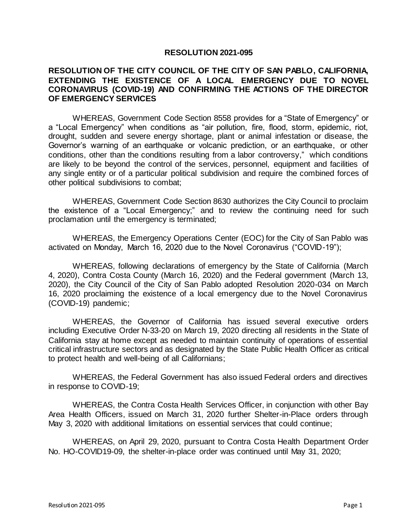## **RESOLUTION 2021-095**

## **RESOLUTION OF THE CITY COUNCIL OF THE CITY OF SAN PABLO, CALIFORNIA, EXTENDING THE EXISTENCE OF A LOCAL EMERGENCY DUE TO NOVEL CORONAVIRUS (COVID-19) AND CONFIRMING THE ACTIONS OF THE DIRECTOR OF EMERGENCY SERVICES**

WHEREAS, Government Code Section 8558 provides for a "State of Emergency" or a "Local Emergency" when conditions as "air pollution, fire, flood, storm, epidemic, riot, drought, sudden and severe energy shortage, plant or animal infestation or disease, the Governor's warning of an earthquake or volcanic prediction, or an earthquake, or other conditions, other than the conditions resulting from a labor controversy," which conditions are likely to be beyond the control of the services, personnel, equipment and facilities of any single entity or of a particular political subdivision and require the combined forces of other political subdivisions to combat;

WHEREAS, Government Code Section 8630 authorizes the City Council to proclaim the existence of a "Local Emergency;" and to review the continuing need for such proclamation until the emergency is terminated;

WHEREAS, the Emergency Operations Center (EOC) for the City of San Pablo was activated on Monday, March 16, 2020 due to the Novel Coronavirus ("COVID-19");

WHEREAS, following declarations of emergency by the State of California (March 4, 2020), Contra Costa County (March 16, 2020) and the Federal government (March 13, 2020), the City Council of the City of San Pablo adopted Resolution 2020-034 on March 16, 2020 proclaiming the existence of a local emergency due to the Novel Coronavirus (COVID-19) pandemic;

WHEREAS, the Governor of California has issued several executive orders including Executive Order N-33-20 on March 19, 2020 directing all residents in the State of California stay at home except as needed to maintain continuity of operations of essential critical infrastructure sectors and as designated by the State Public Health Officer as critical to protect health and well-being of all Californians;

WHEREAS, the Federal Government has also issued Federal orders and directives in response to COVID-19;

WHEREAS, the Contra Costa Health Services Officer, in conjunction with other Bay Area Health Officers, issued on March 31, 2020 further Shelter-in-Place orders through May 3, 2020 with additional limitations on essential services that could continue;

WHEREAS, on April 29, 2020, pursuant to Contra Costa Health Department Order No. HO-COVID19-09, the shelter-in-place order was continued until May 31, 2020;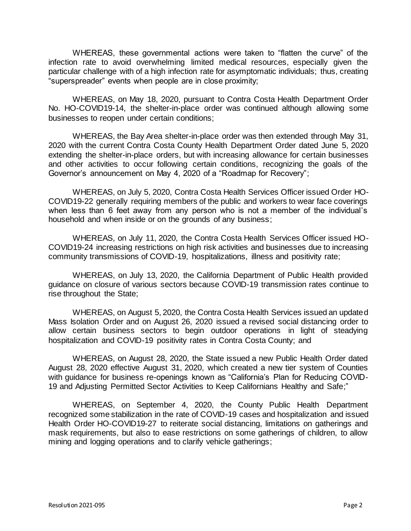WHEREAS, these governmental actions were taken to "flatten the curve" of the infection rate to avoid overwhelming limited medical resources, especially given the particular challenge with of a high infection rate for asymptomatic individuals; thus, creating "superspreader" events when people are in close proximity;

WHEREAS, on May 18, 2020, pursuant to Contra Costa Health Department Order No. HO-COVID19-14, the shelter-in-place order was continued although allowing some businesses to reopen under certain conditions;

WHEREAS, the Bay Area shelter-in-place order was then extended through May 31, 2020 with the current Contra Costa County Health Department Order dated June 5, 2020 extending the shelter-in-place orders, but with increasing allowance for certain businesses and other activities to occur following certain conditions, recognizing the goals of the Governor's announcement on May 4, 2020 of a "Roadmap for Recovery";

WHEREAS, on July 5, 2020, Contra Costa Health Services Officer issued Order HO-COVID19-22 generally requiring members of the public and workers to wear face coverings when less than 6 feet away from any person who is not a member of the individual's household and when inside or on the grounds of any business;

WHEREAS, on July 11, 2020, the Contra Costa Health Services Officer issued HO-COVID19-24 increasing restrictions on high risk activities and businesses due to increasing community transmissions of COVID-19, hospitalizations, illness and positivity rate;

WHEREAS, on July 13, 2020, the California Department of Public Health provided guidance on closure of various sectors because COVID-19 transmission rates continue to rise throughout the State;

WHEREAS, on August 5, 2020, the Contra Costa Health Services issued an updated Mass Isolation Order and on August 26, 2020 issued a revised social distancing order to allow certain business sectors to begin outdoor operations in light of steadying hospitalization and COVID-19 positivity rates in Contra Costa County; and

WHEREAS, on August 28, 2020, the State issued a new Public Health Order dated August 28, 2020 effective August 31, 2020, which created a new tier system of Counties with guidance for business re-openings known as "California's Plan for Reducing COVID-19 and Adjusting Permitted Sector Activities to Keep Californians Healthy and Safe;"

WHEREAS, on September 4, 2020, the County Public Health Department recognized some stabilization in the rate of COVID-19 cases and hospitalization and issued Health Order HO-COVID19-27 to reiterate social distancing, limitations on gatherings and mask requirements, but also to ease restrictions on some gatherings of children, to allow mining and logging operations and to clarify vehicle gatherings;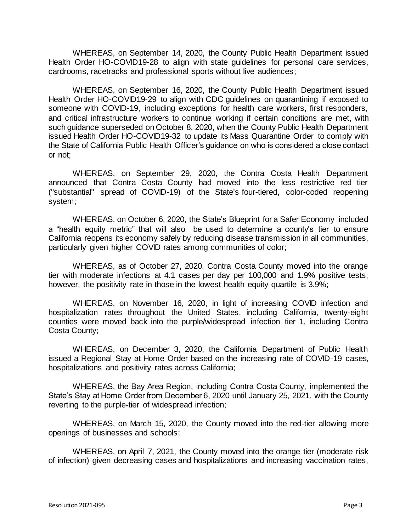WHEREAS, on September 14, 2020, the County Public Health Department issued Health Order HO-COVID19-28 to align with state guidelines for personal care services, cardrooms, racetracks and professional sports without live audiences;

WHEREAS, on September 16, 2020, the County Public Health Department issued Health Order HO-COVID19-29 to align with CDC guidelines on quarantining if exposed to someone with COVID-19, including exceptions for health care workers, first responders, and critical infrastructure workers to continue working if certain conditions are met, with such guidance superseded on October 8, 2020, when the County Public Health Department issued Health Order HO-COVID19-32 to update its Mass Quarantine Order to comply with the State of California Public Health Officer's guidance on who is considered a close contact or not;

WHEREAS, on September 29, 2020, the Contra Costa Health Department announced that Contra Costa County had moved into the less restrictive red tier ("substantial" spread of COVID-19) of the State's [four-tiered, color-coded reopening](https://covid19.ca.gov/safer-economy/)  [system;](https://covid19.ca.gov/safer-economy/)

WHEREAS, on October 6, 2020, the State's [Blueprint for a Safer Economy](https://www.cdph.ca.gov/Programs/CID/DCDC/Pages/COVID-19/COVID19CountyMonitoringOverview.aspx) included a "health equity metric" that will also be used to determine a county's tier to ensure California reopens its economy safely by reducing disease transmission in all communities, particularly given higher COVID rates among communities of color;

WHEREAS, as of October 27, 2020, Contra Costa County moved into the orange tier with moderate infections at 4.1 cases per day per 100,000 and 1.9% positive tests; however, the positivity rate in those in the lowest health equity quartile is 3.9%;

WHEREAS, on November 16, 2020, in light of increasing COVID infection and hospitalization rates throughout the United States, including California, twenty-eight counties were moved back into the purple/widespread infection tier 1, including Contra Costa County;

WHEREAS, on December 3, 2020, the California Department of Public Health issued a Regional Stay at Home Order based on the increasing rate of COVID-19 cases, hospitalizations and positivity rates across California;

WHEREAS, the Bay Area Region, including Contra Costa County, implemented the State's Stay at Home Order from December 6, 2020 until January 25, 2021, with the County reverting to the purple-tier of widespread infection;

WHEREAS, on March 15, 2020, the County moved into the red-tier allowing more openings of businesses and schools;

WHEREAS, on April 7, 2021, the County moved into the orange tier (moderate risk of infection) given decreasing cases and hospitalizations and increasing vaccination rates,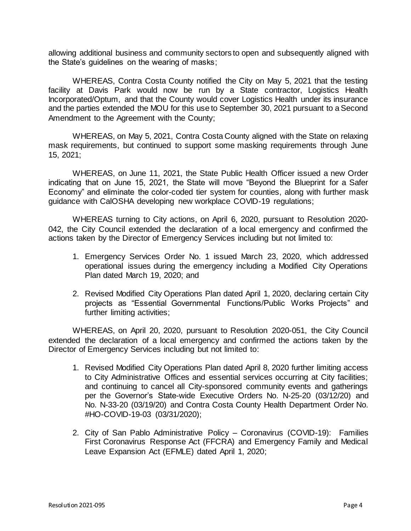allowing additional business and community sectors to open and subsequently aligned with the State's guidelines on the wearing of masks;

WHEREAS, Contra Costa County notified the City on May 5, 2021 that the testing facility at Davis Park would now be run by a State contractor, Logistics Health Incorporated/Optum, and that the County would cover Logistics Health under its insurance and the parties extended the MOU for this use to September 30, 2021 pursuant to a Second Amendment to the Agreement with the County;

WHEREAS, on May 5, 2021, Contra Costa County aligned with the State on relaxing mask requirements, but continued to support some masking requirements through June 15, 2021;

WHEREAS, on June 11, 2021, the State Public Health Officer issued a new Order indicating that on June 15, 2021, the State will move "Beyond the Blueprint for a Safer Economy" and eliminate the color-coded tier system for counties, along with further mask guidance with CalOSHA developing new workplace COVID-19 regulations;

WHEREAS turning to City actions, on April 6, 2020, pursuant to Resolution 2020- 042, the City Council extended the declaration of a local emergency and confirmed the actions taken by the Director of Emergency Services including but not limited to:

- 1. Emergency Services Order No. 1 issued March 23, 2020, which addressed operational issues during the emergency including a Modified City Operations Plan dated March 19, 2020; and
- 2. Revised Modified City Operations Plan dated April 1, 2020, declaring certain City projects as "Essential Governmental Functions/Public Works Projects" and further limiting activities;

WHEREAS, on April 20, 2020, pursuant to Resolution 2020-051, the City Council extended the declaration of a local emergency and confirmed the actions taken by the Director of Emergency Services including but not limited to:

- 1. Revised Modified City Operations Plan dated April 8, 2020 further limiting access to City Administrative Offices and essential services occurring at City facilities; and continuing to cancel all City-sponsored community events and gatherings per the Governor's State-wide Executive Orders No. N-25-20 (03/12/20) and No. N-33-20 (03/19/20) and Contra Costa County Health Department Order No. #HO-COVID-19-03 (03/31/2020);
- 2. City of San Pablo Administrative Policy Coronavirus (COVID-19): Families First Coronavirus Response Act (FFCRA) and Emergency Family and Medical Leave Expansion Act (EFMLE) dated April 1, 2020;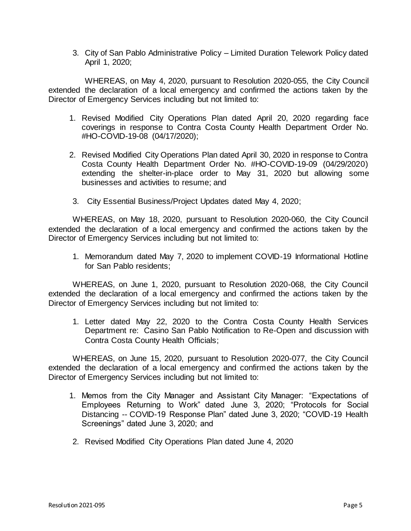3. City of San Pablo Administrative Policy – Limited Duration Telework Policy dated April 1, 2020;

WHEREAS, on May 4, 2020, pursuant to Resolution 2020-055, the City Council extended the declaration of a local emergency and confirmed the actions taken by the Director of Emergency Services including but not limited to:

- 1. Revised Modified City Operations Plan dated April 20, 2020 regarding face coverings in response to Contra Costa County Health Department Order No. #HO-COVID-19-08 (04/17/2020);
- 2. Revised Modified City Operations Plan dated April 30, 2020 in response to Contra Costa County Health Department Order No. #HO-COVID-19-09 (04/29/2020) extending the shelter-in-place order to May 31, 2020 but allowing some businesses and activities to resume; and
- 3. City Essential Business/Project Updates dated May 4, 2020;

WHEREAS, on May 18, 2020, pursuant to Resolution 2020-060, the City Council extended the declaration of a local emergency and confirmed the actions taken by the Director of Emergency Services including but not limited to:

1. Memorandum dated May 7, 2020 to implement COVID-19 Informational Hotline for San Pablo residents;

WHEREAS, on June 1, 2020, pursuant to Resolution 2020-068, the City Council extended the declaration of a local emergency and confirmed the actions taken by the Director of Emergency Services including but not limited to:

1. Letter dated May 22, 2020 to the Contra Costa County Health Services Department re: Casino San Pablo Notification to Re-Open and discussion with Contra Costa County Health Officials;

WHEREAS, on June 15, 2020, pursuant to Resolution 2020-077, the City Council extended the declaration of a local emergency and confirmed the actions taken by the Director of Emergency Services including but not limited to:

- 1. Memos from the City Manager and Assistant City Manager: "Expectations of Employees Returning to Work" dated June 3, 2020; "Protocols for Social Distancing -- COVID-19 Response Plan" dated June 3, 2020; "COVID-19 Health Screenings" dated June 3, 2020; and
- 2. Revised Modified City Operations Plan dated June 4, 2020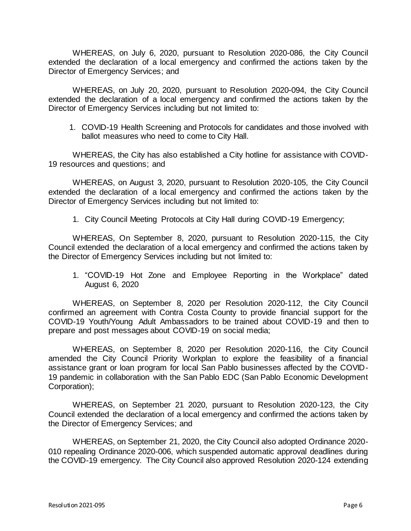WHEREAS, on July 6, 2020, pursuant to Resolution 2020-086, the City Council extended the declaration of a local emergency and confirmed the actions taken by the Director of Emergency Services; and

WHEREAS, on July 20, 2020, pursuant to Resolution 2020-094, the City Council extended the declaration of a local emergency and confirmed the actions taken by the Director of Emergency Services including but not limited to:

1. COVID-19 Health Screening and Protocols for candidates and those involved with ballot measures who need to come to City Hall.

WHEREAS, the City has also established a City hotline for assistance with COVID-19 resources and questions; and

WHEREAS, on August 3, 2020, pursuant to Resolution 2020-105, the City Council extended the declaration of a local emergency and confirmed the actions taken by the Director of Emergency Services including but not limited to:

1. City Council Meeting Protocols at City Hall during COVID-19 Emergency;

WHEREAS, On September 8, 2020, pursuant to Resolution 2020-115, the City Council extended the declaration of a local emergency and confirmed the actions taken by the Director of Emergency Services including but not limited to:

1. "COVID-19 Hot Zone and Employee Reporting in the Workplace" dated August 6, 2020

WHEREAS, on September 8, 2020 per Resolution 2020-112, the City Council confirmed an agreement with Contra Costa County to provide financial support for the COVID-19 Youth/Young Adult Ambassadors to be trained about COVID-19 and then to prepare and post messages about COVID-19 on social media;

WHEREAS, on September 8, 2020 per Resolution 2020-116, the City Council amended the City Council Priority Workplan to explore the feasibility of a financial assistance grant or loan program for local San Pablo businesses affected by the COVID-19 pandemic in collaboration with the San Pablo EDC (San Pablo Economic Development Corporation);

WHEREAS, on September 21 2020, pursuant to Resolution 2020-123, the City Council extended the declaration of a local emergency and confirmed the actions taken by the Director of Emergency Services; and

WHEREAS, on September 21, 2020, the City Council also adopted Ordinance 2020- 010 repealing Ordinance 2020-006, which suspended automatic approval deadlines during the COVID-19 emergency. The City Council also approved Resolution 2020-124 extending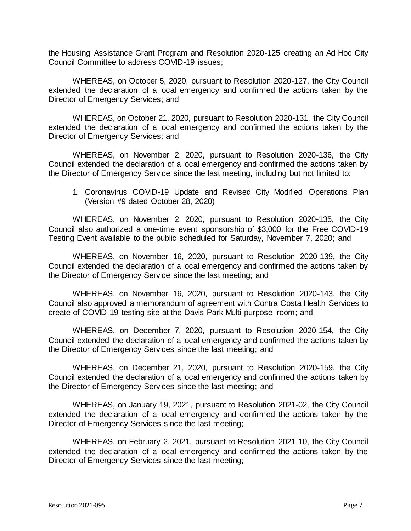the Housing Assistance Grant Program and Resolution 2020-125 creating an Ad Hoc City Council Committee to address COVID-19 issues;

WHEREAS, on October 5, 2020, pursuant to Resolution 2020-127, the City Council extended the declaration of a local emergency and confirmed the actions taken by the Director of Emergency Services; and

WHEREAS, on October 21, 2020, pursuant to Resolution 2020-131, the City Council extended the declaration of a local emergency and confirmed the actions taken by the Director of Emergency Services; and

WHEREAS, on November 2, 2020, pursuant to Resolution 2020-136, the City Council extended the declaration of a local emergency and confirmed the actions taken by the Director of Emergency Service since the last meeting, including but not limited to:

1. Coronavirus COVID-19 Update and Revised City Modified Operations Plan (Version #9 dated October 28, 2020)

WHEREAS, on November 2, 2020, pursuant to Resolution 2020-135, the City Council also authorized a one-time event sponsorship of \$3,000 for the Free COVID-19 Testing Event available to the public scheduled for Saturday, November 7, 2020; and

WHEREAS, on November 16, 2020, pursuant to Resolution 2020-139, the City Council extended the declaration of a local emergency and confirmed the actions taken by the Director of Emergency Service since the last meeting; and

WHEREAS, on November 16, 2020, pursuant to Resolution 2020-143, the City Council also approved a memorandum of agreement with Contra Costa Health Services to create of COVID-19 testing site at the Davis Park Multi-purpose room; and

WHEREAS, on December 7, 2020, pursuant to Resolution 2020-154, the City Council extended the declaration of a local emergency and confirmed the actions taken by the Director of Emergency Services since the last meeting; and

WHEREAS, on December 21, 2020, pursuant to Resolution 2020-159, the City Council extended the declaration of a local emergency and confirmed the actions taken by the Director of Emergency Services since the last meeting; and

WHEREAS, on January 19, 2021, pursuant to Resolution 2021-02, the City Council extended the declaration of a local emergency and confirmed the actions taken by the Director of Emergency Services since the last meeting;

WHEREAS, on February 2, 2021, pursuant to Resolution 2021-10, the City Council extended the declaration of a local emergency and confirmed the actions taken by the Director of Emergency Services since the last meeting;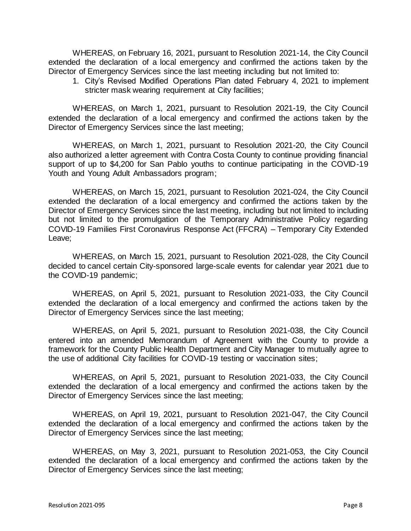WHEREAS, on February 16, 2021, pursuant to Resolution 2021-14, the City Council extended the declaration of a local emergency and confirmed the actions taken by the Director of Emergency Services since the last meeting including but not limited to:

1. City's Revised Modified Operations Plan dated February 4, 2021 to implement stricter mask wearing requirement at City facilities;

WHEREAS, on March 1, 2021, pursuant to Resolution 2021-19, the City Council extended the declaration of a local emergency and confirmed the actions taken by the Director of Emergency Services since the last meeting;

WHEREAS, on March 1, 2021, pursuant to Resolution 2021-20, the City Council also authorized a letter agreement with Contra Costa County to continue providing financial support of up to \$4,200 for San Pablo youths to continue participating in the COVID-19 Youth and Young Adult Ambassadors program;

WHEREAS, on March 15, 2021, pursuant to Resolution 2021-024, the City Council extended the declaration of a local emergency and confirmed the actions taken by the Director of Emergency Services since the last meeting, including but not limited to including but not limited to the promulgation of the Temporary Administrative Policy regarding COVID-19 Families First Coronavirus Response Act (FFCRA) – Temporary City Extended Leave;

WHEREAS, on March 15, 2021, pursuant to Resolution 2021-028, the City Council decided to cancel certain City-sponsored large-scale events for calendar year 2021 due to the COVID-19 pandemic;

WHEREAS, on April 5, 2021, pursuant to Resolution 2021-033, the City Council extended the declaration of a local emergency and confirmed the actions taken by the Director of Emergency Services since the last meeting;

WHEREAS, on April 5, 2021, pursuant to Resolution 2021-038, the City Council entered into an amended Memorandum of Agreement with the County to provide a framework for the County Public Health Department and City Manager to mutually agree to the use of additional City facilities for COVID-19 testing or vaccination sites;

WHEREAS, on April 5, 2021, pursuant to Resolution 2021-033, the City Council extended the declaration of a local emergency and confirmed the actions taken by the Director of Emergency Services since the last meeting;

WHEREAS, on April 19, 2021, pursuant to Resolution 2021-047, the City Council extended the declaration of a local emergency and confirmed the actions taken by the Director of Emergency Services since the last meeting;

WHEREAS, on May 3, 2021, pursuant to Resolution 2021-053, the City Council extended the declaration of a local emergency and confirmed the actions taken by the Director of Emergency Services since the last meeting;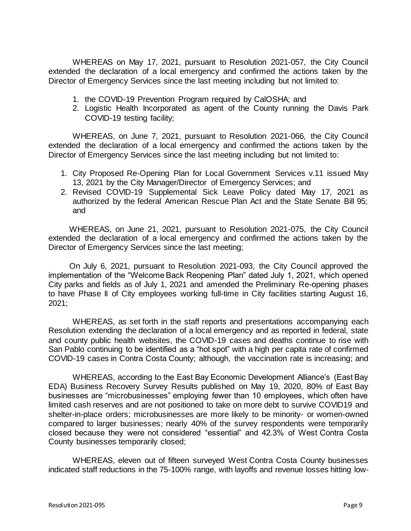WHEREAS on May 17, 2021, pursuant to Resolution 2021-057, the City Council extended the declaration of a local emergency and confirmed the actions taken by the Director of Emergency Services since the last meeting including but not limited to:

- 1. the COVID-19 Prevention Program required by CalOSHA; and
- 2. Logistic Health Incorporated as agent of the County running the Davis Park COVID-19 testing facility;

WHEREAS, on June 7, 2021, pursuant to Resolution 2021-066, the City Council extended the declaration of a local emergency and confirmed the actions taken by the Director of Emergency Services since the last meeting including but not limited to:

- 1. City Proposed Re-Opening Plan for Local Government Services v.11 issued May 13, 2021 by the City Manager/Director of Emergency Services; and
- 2. Revised COVID-19 Supplemental Sick Leave Policy dated May 17, 2021 as authorized by the federal American Rescue Plan Act and the State Senate Bill 95; and

WHEREAS, on June 21, 2021, pursuant to Resolution 2021-075, the City Council extended the declaration of a local emergency and confirmed the actions taken by the Director of Emergency Services since the last meeting;

On July 6, 2021, pursuant to Resolution 2021-093, the City Council approved the implementation of the "Welcome Back Reopening Plan" dated July 1, 2021, which opened City parks and fields as of July 1, 2021 and amended the Preliminary Re-opening phases to have Phase II of City employees working full-time in City facilities starting August 16, 2021;

WHEREAS, as set forth in the staff reports and presentations accompanying each Resolution extending the declaration of a local emergency and as reported in federal, state and county public health websites, the COVID-19 cases and deaths continue to rise with San Pablo continuing to be identified as a "hot spot" with a high per capita rate of confirmed COVID-19 cases in Contra Costa County; although, the vaccination rate is increasing; and

WHEREAS, according to the East Bay Economic Development Alliance's (East Bay EDA) Business Recovery Survey Results published on May 19, 2020, 80% of East Bay businesses are "microbusinesses" employing fewer than 10 employees, which often have limited cash reserves and are not positioned to take on more debt to survive COVID19 and shelter-in-place orders; microbusinesses are more likely to be minority- or women-owned compared to larger businesses; nearly 40% of the survey respondents were temporarily closed because they were not considered "essential" and 42.3% of West Contra Costa County businesses temporarily closed;

WHEREAS, eleven out of fifteen surveyed West Contra Costa County businesses indicated staff reductions in the 75-100% range, with layoffs and revenue losses hitting low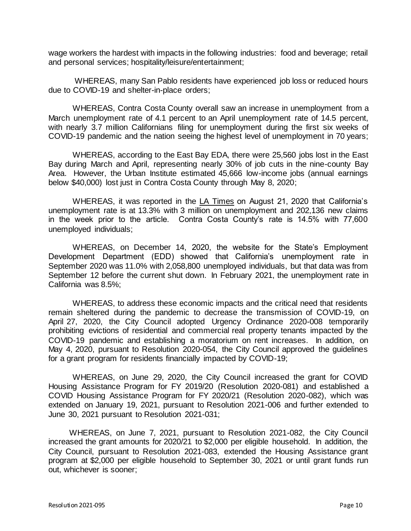wage workers the hardest with impacts in the following industries: food and beverage; retail and personal services; hospitality/leisure/entertainment;

WHEREAS, many San Pablo residents have experienced job loss or reduced hours due to COVID-19 and shelter-in-place orders;

WHEREAS, Contra Costa County overall saw an increase in unemployment from a March unemployment rate of 4.1 percent to an April unemployment rate of 14.5 percent, with nearly 3.7 million Californians filing for unemployment during the first six weeks of COVID-19 pandemic and the nation seeing the highest level of unemployment in 70 years;

WHEREAS, according to the East Bay EDA, there were 25,560 jobs lost in the East Bay during March and April, representing nearly 30% of job cuts in the nine-county Bay Area. However, the Urban Institute estimated 45,666 low-income jobs (annual earnings below \$40,000) lost just in Contra Costa County through May 8, 2020;

WHEREAS, it was reported in the LA Times on August 21, 2020 that California's unemployment rate is at 13.3% with 3 million on unemployment and 202,136 new claims in the week prior to the article. Contra Costa County's rate is 14.5% with 77,600 unemployed individuals;

WHEREAS, on December 14, 2020, the website for the State's Employment Development Department (EDD) showed that California's unemployment rate in September 2020 was 11.0% with 2,058,800 unemployed individuals, but that data was from September 12 before the current shut down. In February 2021, the unemployment rate in California was 8.5%;

WHEREAS, to address these economic impacts and the critical need that residents remain sheltered during the pandemic to decrease the transmission of COVID-19, on April 27, 2020, the City Council adopted Urgency Ordinance 2020-008 temporarily prohibiting evictions of residential and commercial real property tenants impacted by the COVID-19 pandemic and establishing a moratorium on rent increases. In addition, on May 4, 2020, pursuant to Resolution 2020-054, the City Council approved the guidelines for a grant program for residents financially impacted by COVID-19;

WHEREAS, on June 29, 2020, the City Council increased the grant for COVID Housing Assistance Program for FY 2019/20 (Resolution 2020-081) and established a COVID Housing Assistance Program for FY 2020/21 (Resolution 2020-082), which was extended on January 19, 2021, pursuant to Resolution 2021-006 and further extended to June 30, 2021 pursuant to Resolution 2021-031;

WHEREAS, on June 7, 2021, pursuant to Resolution 2021-082, the City Council increased the grant amounts for 2020/21 to \$2,000 per eligible household. In addition, the City Council, pursuant to Resolution 2021-083, extended the Housing Assistance grant program at \$2,000 per eligible household to September 30, 2021 or until grant funds run out, whichever is sooner;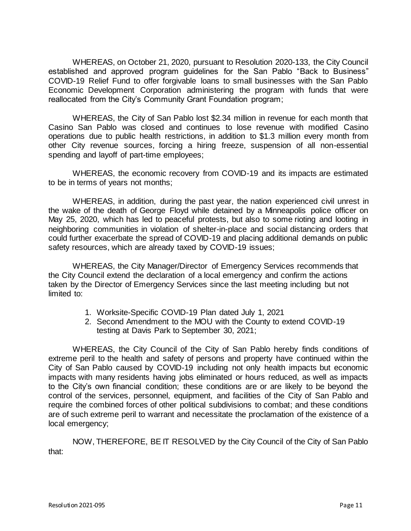WHEREAS, on October 21, 2020, pursuant to Resolution 2020-133, the City Council established and approved program guidelines for the San Pablo "Back to Business" COVID-19 Relief Fund to offer forgivable loans to small businesses with the San Pablo Economic Development Corporation administering the program with funds that were reallocated from the City's Community Grant Foundation program;

WHEREAS, the City of San Pablo lost \$2.34 million in revenue for each month that Casino San Pablo was closed and continues to lose revenue with modified Casino operations due to public health restrictions, in addition to \$1.3 million every month from other City revenue sources, forcing a hiring freeze, suspension of all non-essential spending and layoff of part-time employees;

WHEREAS, the economic recovery from COVID-19 and its impacts are estimated to be in terms of years not months;

WHEREAS, in addition, during the past year, the nation experienced civil unrest in the wake of the death of George Floyd while detained by a Minneapolis police officer on May 25, 2020, which has led to peaceful protests, but also to some rioting and looting in neighboring communities in violation of shelter-in-place and social distancing orders that could further exacerbate the spread of COVID-19 and placing additional demands on public safety resources, which are already taxed by COVID-19 issues;

WHEREAS, the City Manager/Director of Emergency Services recommends that the City Council extend the declaration of a local emergency and confirm the actions taken by the Director of Emergency Services since the last meeting including but not limited to:

- 1. Worksite-Specific COVID-19 Plan dated July 1, 2021
- 2. Second Amendment to the MOU with the County to extend COVID-19 testing at Davis Park to September 30, 2021;

WHEREAS, the City Council of the City of San Pablo hereby finds conditions of extreme peril to the health and safety of persons and property have continued within the City of San Pablo caused by COVID-19 including not only health impacts but economic impacts with many residents having jobs eliminated or hours reduced, as well as impacts to the City's own financial condition; these conditions are or are likely to be beyond the control of the services, personnel, equipment, and facilities of the City of San Pablo and require the combined forces of other political subdivisions to combat; and these conditions are of such extreme peril to warrant and necessitate the proclamation of the existence of a local emergency;

NOW, THEREFORE, BE IT RESOLVED by the City Council of the City of San Pablo that: